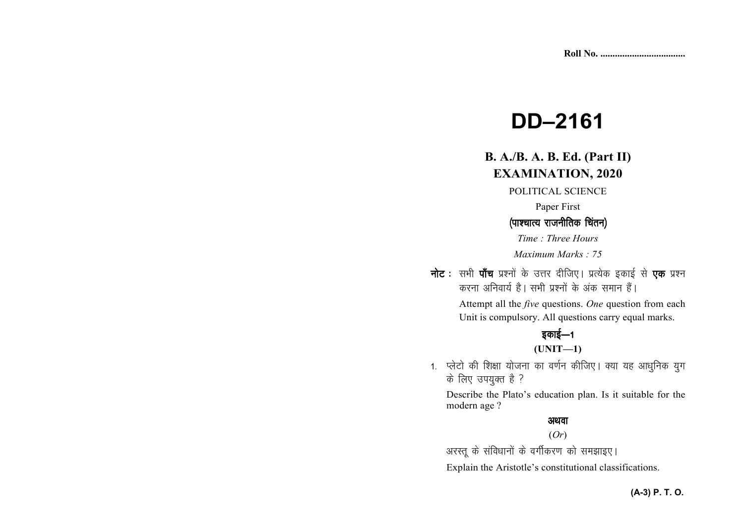# **DD–2161**

# **B. A./B. A. B. Ed. (Part II)EXAMINATION, 2020**

POLITICAL SCIENCE

Paper First

## *¼ik'pkR; jktuhfrd fparu½ fparu½*

*Time : Three Hours Maximum Marks : 75* 

**नोट** : सभी **पाँच** प्रश्नों के उत्तर दीजिए। प्रत्येक इकाई से **एक** प्रश्न

*djuk vfuok;Z gSA lHkh iz'uksa d¢ vad leku gSaA* Attempt all the *five* questions. *One* question from each

Unit is compulsory. All questions carry equal marks.

# *bdkbZ*&*<sup>1</sup>*

## **(UNIT—1)**

1. प्लेटो की शिक्षा योजना का वर्णन कीजिए। क्या यह आधुनिक युग  $\vec{p}$  लिए उपयुक्त है ?

Describe the Plato's education plan. Is it suitable for the modern age ?

## अथवा

### (*Or*)

*vjLrw ds lafo/kkuksa ds oxhZdj.k dks le>kb,A* 

Explain the Aristotle's constitutional classifications.